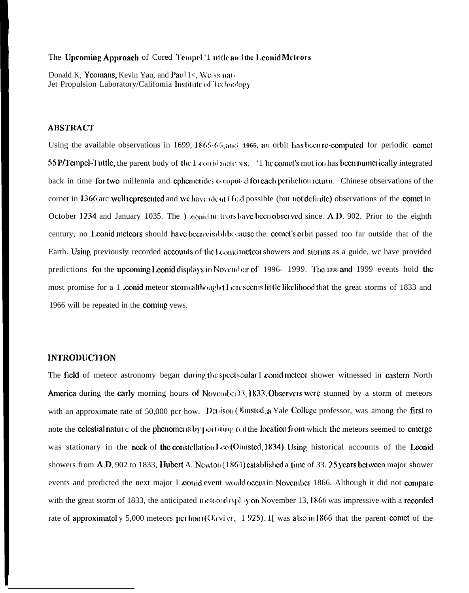#### The Upcoming Approach of Cored Tempel '1 uttle and the Leonid Meteors

Donald K, Yeomans, Kevin Yau, and Paul 1<, Weissman Jet Propulsion Laboratory/Califomia Institute of Technology

### **ABSTRACT**

Using the available observations in 1699, 1865.66, and 1965, an orbit has been re-computed for periodic comet 55 P/Tempel-Tuttle, the parent body of the 1 corrid networs. '1 he comet's mot ion has been numerically integrated back in time for two millennia and ephemerides computed for each periheliom return. Chinese observations of the cornet in 1366 are well represented and we have ident if Ed possible (but not definite) observations of the comet in October 1234 and January 1035. The ) conid in teors have been observed since. A.D. 902. Prior to the eighth century, no Leonid meteors should have been visible because the, comet's orbit passed too far outside that of the Earth. Using previously recorded accounts of the Leonid meteor showers and storms as a guide, we have provided predictions for the upcoming Leonid displays in November of 1996-1999. The 1998 and 1999 events hold the most promise for a 1 conid meteor storm although there seems little likelihood that the great storms of 1833 and 1966 will be repeated in the coming yews.

## **INTRODUCTION**

The field of meteor astronomy began during the spectroular I conid meteor shower witnessed in castern North America during the carly morning hours of November 3.1833. Observers were stunned by a storm of meteors with an approximate rate of 50,000 pcr how. Denison Olmsted, a Yale College professor, was among the first to note the celestial nature of the phenomena by pointing out the location from which the meteors seemed to emerge was stationary in the neck of the constellation  $l \infty$  (Olinsted, 1834). Using historical accounts of the Leonid showers from  $A.D. 902$  to 1833, Hubert A. Newton (1864) established a time of 33, 25 years between major shower events and predicted the next major I conid event would occur in November 1866. Although it did not compare with the great storm of 1833, the anticipated meteor display on November 13, 1866 was impressive with a recorded rate of approximately 5,000 meteors per hour(Ohvi er, 1925). 1[ was also in 1866 that the parent comet of the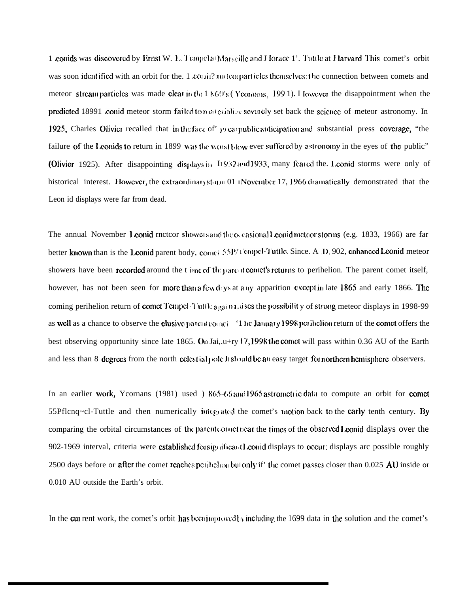1 conids was discovered by Ernst W. 1. Tempel at Marseille and J lorace 1'. Tuttle at Harvard. This comet's orbit was soon identified with an orbit for the  $1$  comit? nutree particles themselves: the connection between comets and meteor stream particles was made clear in the 1 860's (Yeonans, 1991). I lowever the disappointment when the predicted 18991 conid meteor storm failed to materialize severely set back the science of meteor astronomy. In 1925, Charles Olivier recalled that in the face of great public anticipation and substantial press coverage, "the failure of the Leonids to return in 1899 was the worst blow ever suffered by astronomy in the eyes of the public" (Olivier 1925). After disappointing displays in I1932 and 1933, many feared the Leonid storms were only of historical interest. However, the extraordinary storm 01 (November 17, 1966 dramatically demonstrated that the Leon id displays were far from dead.

The annual November 1 conid rnctcor showers and the  $\alpha$  casional Leonid meteor storms (e.g. 1833, 1966) are far better known than is the Leonid parent body,  $\alpha$ <sub>1</sub> et 55P/1 cmpcl-Tuttle. Since, A D, 902, cnhanced Leonid meteor showers have been recorded around the t ime of the parced comet's returns to perihelion. The parent comet itself, however, has not been seen for more than a few days at any apparition except in late 1865 and early 1866. The coming perihelion return of comet Tempel Tuttle again Lises the possibility of strong meteor displays in 1998-99 as well as a chance to observe the clusive parent comet '1 he January 1998 per ihelion return of the comet offers the best observing opportunity since late 1865. On Jai,  $u+ry/7$ , 1998 the comet will pass within 0.36 AU of the Earth and less than 8 degrees from the north celestial pole lish old be an easy target for northern hemisphere observers.

In an earlier work, Ycornans (1981) used ) 865-66 and 1965 astrometric data to compute an orbit for comet 55Pflcnq~cl-Tuttle and then numerically integrated the comet's motion back to the carly tenth century. By comparing the orbital circumstances of the parent corner near the times of the observed Leonid displays over the 902-1969 interval, criteria were cstablished for significant Leonid displays to occur: displays are possible roughly 2500 days before or after the comet reaches perihelion but only if' the comet passes closer than 0.025 AU inside or 0.010 AU outside the Earth's orbit.

In the cut rent work, the comet's orbit has becaused by including the 1699 data in the solution and the comet's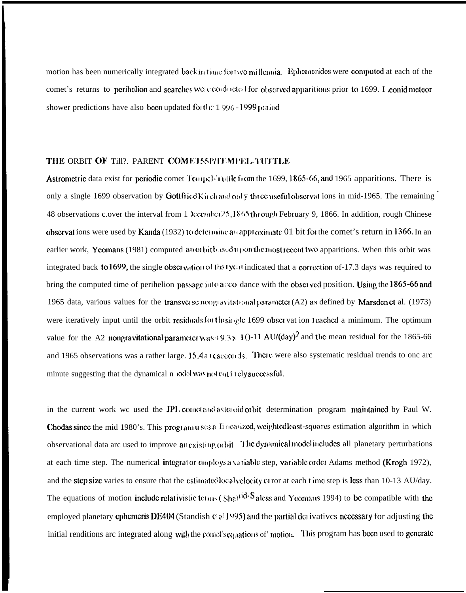motion has been numerically integrated back in time for two millennia. Ephemerides were computed at each of the comet's returns to perihelion and searches were conducted for observed apparitions prior to 1699. I conid meteor shower predictions have also been updated for the 1996-1999 period

## THE ORBIT OF Till?. PARENT COMET55P/TEMPEL-TUTTLE

Astrometric data exist for periodic comet Tempel-wittle from the 1699, 1865-66, and 1965 apparitions. There is only a single 1699 observation by Gottfried Kirchandoaly three useful observations in mid-1965. The remaining 48 observations c.over the interval from 1 Xccmbci 25, 1865 through February 9, 1866. In addition, rough Chinese observations were used by Kanda (1932) to determine a capproximate 01 bit for the comet's return in 1366. In an earlier work, Yeomans (1981) computed anothibused upon the most recent two apparitions. When this orbit was integrated back to 1699, the single obset vation of that year indicated that a correction of 17.3 days was required to bring the computed time of perihelion passage into a condition with the observed position. Using the 1865-66 and 1965 data, various values for the transverse nongenitational parameter (A2) as defined by Marsden et al. (1973) were iteratively input until the orbit residuals for the single 1699 obset vat ion reached a minimum. The optimum value for the A2 nongravitational parameter was  $(9.3 \times 10^{-11} \text{ AU}/(\text{day})^2)$  and the mean residual for the 1865-66 and 1965 observations was a rather large. 15.4 a L seconds. There were also systematic residual trends to one are minute suggesting that the dynamical n todel was not ent i rely successful.

in the current work we used the JPL concetand asteroid orbit determination program maintained by Paul W. Chodas since the mid 1980's. This program uses a Ii nearized, weightedleast-squares estimation algorithm in which observational data arc used to improve an existing of bit The dynamical model includes all planetary perturbations at each time step. The numerical integrator couploys a variable step, variable order Adams method (Krogh 1972), and the step size varies to ensure that the estimated local velocity of ror at each time step is less than 10-13 AU/day. The equations of motion include relativistic terms ( $\text{Sha}^{\text{old}}$  S aless and Yeomaus 1994) to be compatible with the employed planetary cphemeris DE404 (Standish c(all 995) and the partial derivatives necessary for adjusting the initial renditions are integrated along with the comet's equations of motion. This program has been used to generate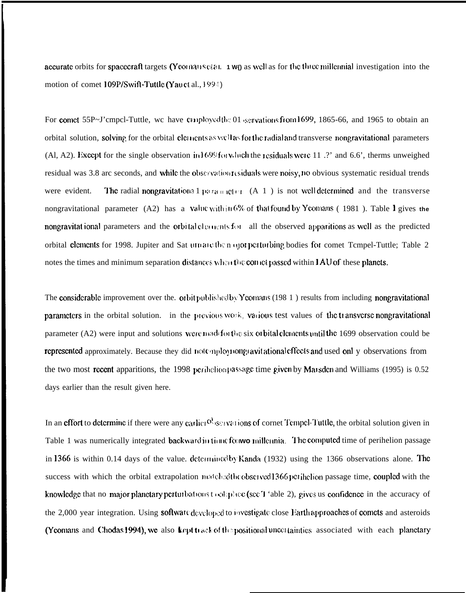accurate orbits for spacecraft targets (Yeomans clan. 1 WQ as well as for the three millennial investigation into the motion of comet 109P/Swift-Tuttle (Yau et al., 1994)

For comet 55P~J'cmpcl-Tuttle, we have couployed the 01 servations from 1699, 1865-66, and 1965 to obtain an orbital solution, solving for the orbital elements as well as for the radial and transverse nongravitational parameters (Al, A2). Except for the single observation in  $1699$  for which the residuals were 11  $\cdot$ ? and 6.6', therms unweighed residual was 3.8 arc seconds, and while the observation residuals were noisy, no obvious systematic residual trends were evident. The radial nongravitational parameter (A 1) is not well determined and the transverse nongravitational parameter (A2) has a value within 6% of that found by Yeomans (1981). Table I gives the nongravitational parameters and the orbital elements for all the observed apparitions as well as the predicted orbital elements for 1998. Jupiter and Sat unnane then one perturbing bodies for comet Tempel-Tuttle: Table 2 notes the times and minimum separation distances when the comet passed within 1AU of these planets.

The considerable improvement over the. orbit published by Yeomans (198 1) results from including nongravitational parameters in the orbital solution. in the previous work, various test values of the transverse nongravitational parameter  $(A2)$  were input and solutions were made for the six orbital elements until the 1699 observation could be represented approximately. Because they did notemploy nongravitational effects and used only observations from the two most recent apparitions, the 1998 perihetion passage time given by Marsden and Williams (1995) is 0.52 days earlier than the result given here.

In an effort to determine if there were any earlier  $0<sup>3</sup>$  is envarions of cornet Tempel-Tuttle, the orbital solution given in Table 1 was numerically integrated backward in the follow millennia. The computed time of perihelion passage in 1366 is within 0.14 days of the value, determined by Kanda (1932) using the 1366 observations alone. The success with which the orbital extrapolation match of observed 1366 per inclion passage time, coupled with the knowledge that no major planetary perturbations took place (see T 'able 2), gives us confidence in the accuracy of the 2,000 year integration. Using softwatt developed to investigate close Earth approaches of comets and asteroids (Yeomans and Chodas 1994), we also kept track of the positional uncertainties associated with each planetary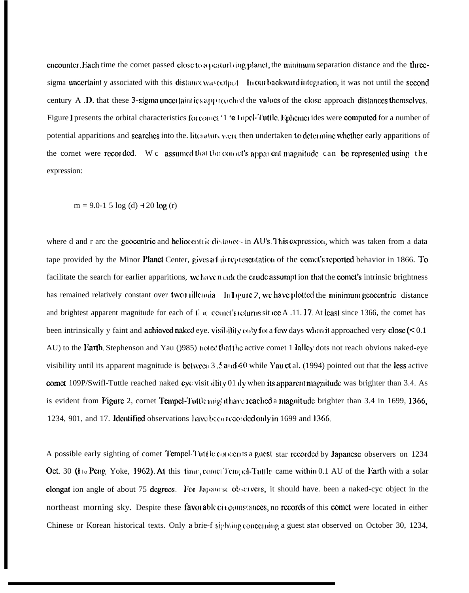encounter. Each time the comet passed close to a perturbing planet, the minimum separation distance and the threesigma uncertaint y associated with this distance was output. In our backward integration, it was not until the second century A, D, that these 3-sigma uncertainties approached the values of the close approach distances themselves. Figure I presents the orbital characteristics for cornet '1 'e Lapel-Tuttle. Ephemer ides were computed for a number of potential apparitions and **scarches** into the. literature were then undertaken to determine whether early apparitions of the cornet were recorded. We assumed that the connect's apparent magnitude can be represented using the expression:

 $m = 9.0 - 15 \log(d) + 20 \log(r)$ 

where d and r arc the geocentric and heliocentric distances in AU's. This expression, which was taken from a data tape provided by the Minor Planet Center, gives a fair representation of the comet's reported behavior in 1866. To facilitate the search for earlier apparitions, we have n ade the crude assumpt ion that the comet's intrinsic brightness has remained relatively constant over two millennia ln Ligure 2, we have plotted the minimum geocentric distance and brightest apparent magnitude for each of the council sections situde A .11.17. At least since 1366, the comet has been intrinsically y faint and achieved naked eye. visibility only for a few days when it approached very close  $(< 0.1$ AU) to the **Earth**. Stephenson and Yau (1985) noted that the active comet 1 Jalley dots not reach obvious naked-eye visibility until its apparent magnitude is **bctwcc**n 3.5 and 40 while Yau et al. (1994) pointed out that the less active comet 109P/Swift-Tuttle reached naked cyc visit illity 01 dv when its apparent magnitude was brighter than 3.4. As is evident from Figure 2, cornet Tempel-Tuttle might have reached a magnitude brighter than 3.4 in 1699, 1366, 1234, 901, and 17. Identified observations have because ded only in 1699 and 1366.

A possible early sighting of comet Tempel-Tuttle concerns a guest star recorded by Japanese observers on 1234 Oct. 30 (I to Peng Yoke, 1962). At this time, comet Tempel-Tuttle came within 0.1 AU of the Earth with a solar clongat ion angle of about 75 degrees. For Japanese observers, it should have, been a naked-cyc object in the northeast morning sky. Despite these favorable cit comstances, no records of this comet were located in either Chinese or Korean historical texts. Only a brie-f sighting concerning a guest stat observed on October 30, 1234,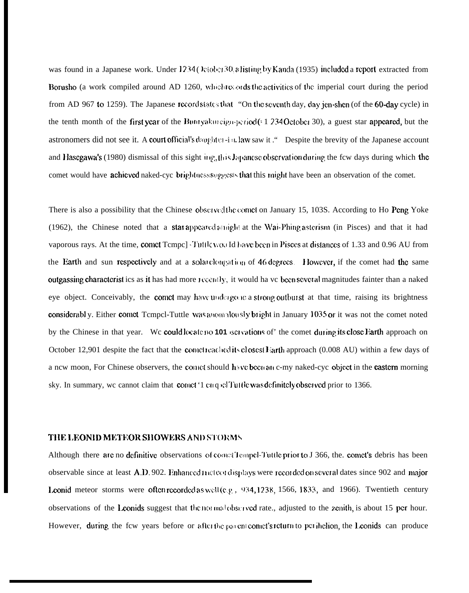was found in a Japanese work. Under 1234 ( $\lambda$ ciobet 30. a listing by Kanda (1935) included a report extracted from Borusho (a work compiled around AD 1260, whichite ords the activities of the imperial court during the period from AD 967 to 1259). The Japanese record states that "On the seventh day, day jen-shen (of the 60-day cycle) in the tenth month of the first year of the Butityakurcign-period( $\epsilon$  1 234 October 30), a guest star appeared, but the astronomers did not see it. A court official's daughter-in. law saw it ." Despite the brevity of the Japanese account and Hasegawa's (1980) dismissal of this sight ing, this Japanese observation during the few days during which the comet would have **achicved** naked-cyc brightness suggests that this might have been an observation of the comet.

There is also a possibility that the Chinese obscrved the coinct on January 15, 103S. According to Ho Peng Yoke (1962), the Chinese noted that a star appeared also include the Wai-Phing asterism (in Pisces) and that it had vaporous rays. At the time, comet Tempe] Tuttlewould have been in Pisces at distances of 1.33 and 0.96 AU from the Earth and sun respectively and at a solar clongation of 46 degrees. However, if the comet had the same outgassing characterist ics as it has had more recently, it would ha vc been several magnitudes fainter than a naked eye object. Conceivably, the comet may have undergone a strong outburst at that time, raising its brightness considerabl y. Either comet Tcmpcl-Tuttle was automalously bright in January 1035 or it was not the comet noted by the Chinese in that year. We could locate no 101 iscivations of' the comet during its close Earth approach on October 12,901 despite the fact that the connected ideal is closest liarth approach (0.008 AU) within a few days of a ncw moon, For Chinese observers, the comet should have been at c-my naked-cyc object in the **eastern** morning sky. In summary, we cannot claim that coinct '1 cit q x: Tuttle was definitely observed prior to 1366.

#### THE LEONID METEOR SHOWERS AND STORMS

Although there are no definitive observations of comet lempel-Tuttle prior to J 366, the. comet's debris has been observable since at least  $A.D. 902$ . Enhanced increasing lays were recorded on several dates since  $902$  and major Leonid meteor storms were often recorded as well (e.g.,  $934, 1238, 1566, 1833,$  and 1966). Twentieth century observations of the Leonids suggest that the normal observed rate., adjusted to the zenith, is about 15 per hour. However, during the fcw years before or after the parent connet's return to perihelion, the Leonids can produce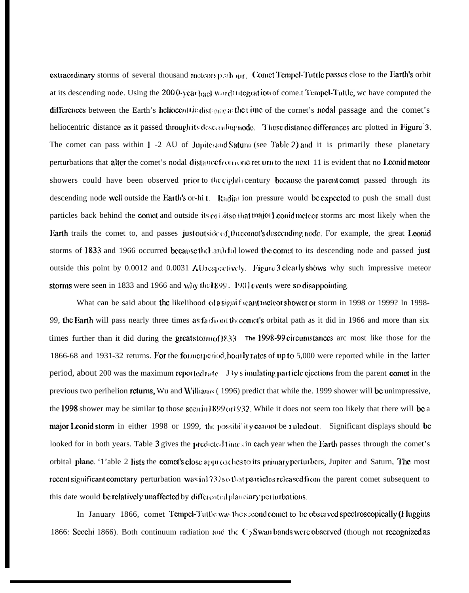extraordinary storms of several thousand meteors perhaps. Comet Tempel-Tuttle passes close to the Earth's orbit at its descending node. Using the 2000-year back ward utegration of come t Tempel-Tuttle, we have computed the differences between the Earth's heliocentric distance at the time of the cornet's nodal passage and the comet's heliocentric distance as it passed through its descending node. These distance differences are plotted in Figure 3. The comet can pass within  $1 - 2$  AU of Jupiter and Saturn (see Table 2) and it is primarily these planetary perturbations that alter the comet's nodal distance from one ret un to the next. 11 is evident that no Leonid meteor showers could have been observed prior to the cighthecentury because the parent comet passed through its descending node well outside the Earth's or-hi t. Radiat ion pressure would be expected to push the small dust particles back behind the comet and outside its on sitso that major Leonid meteor storms are most likely when the Earth trails the comet to, and passes just outside of the comet's descending node. For example, the great Leonid storms of 1833 and 1966 occurred because the Earth followed the comet to its descending node and passed just outside this point by 0.0012 and 0.0031 AU respectively. Figure 3 clearly shows why such impressive meteor storms were seen in 1833 and 1966 and why the 1899. 1901 events were so disappointing.

What can be said about the likelihood of a significant meteor shower or storm in 1998 or 1999? In 1998-99, the Earth will pass nearly three times as farfront the comet's orbital path as it did in 1966 and more than six times further than it did during the great storm of  $833$  The 1998-99 circumstances are most like those for the 1866-68 and 1931-32 returns. For the former period hourly rates of up to 5,000 were reported while in the latter period, about 200 was the maximum reported  $\mathbf{a}$  i.e. J 3y s imulating particle ejections from the parent comet in the previous two perihelion **returns**, Wu and Williams (1996) predict that while the 1999 shower will be unimpressive, the 1998 shower may be similar to those securin  $899$  or  $1932$ . While it does not seem too likely that there will be a major Leonid storm in either 1998 or 1999, the possibility cannot be ruled out. Significant displays should be looked for in both years. Table 3 gives the predicted times in each year when the Earth passes through the comet's orbital plane. '1'able 2 lists the comet's close approaches to its primary perturbers, Jupiter and Saturn, The most recent significant cometary perturbation was in1732so that particles released from the parent comet subsequent to this date would be relatively unaffected by differential planetary perturbations.

In January 1866, comet Tempel-Tuttle was the second comet to be observed spectroscopically (Huggins 1866: Seechi 1866). Both continuum radiation and the C<sub>2</sub>Swan bands were observed (though not recognized as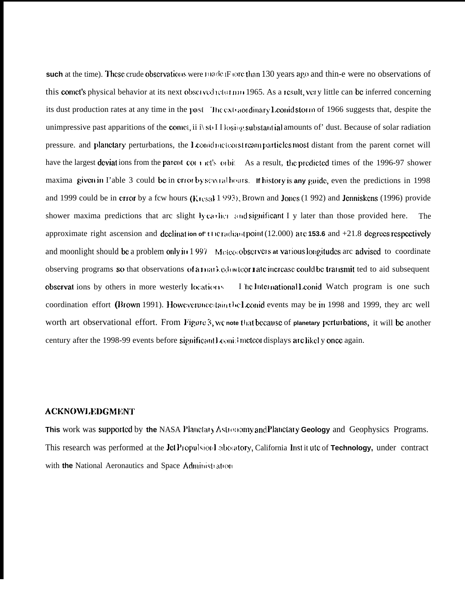such at the time). These crude observations were made F fore than 130 years ago and thin-e were no observations of this comet's physical behavior at its next observed returnm 1965. As a result, very little can be inferred concerning its dust production rates at any time in the past The extraordinary Leonidstorm of 1966 suggests that, despite the unimpressive past apparitions of the comet, ii i) sto I I losing substantial amounts of' dust. Because of solar radiation pressure, and planetary perturbations, the Leonid meteorst reamparticles most distant from the parent cornet will have the largest deviations from the parent contract by orbit. As a result, the predicted times of the 1996-97 shower maxima given in l'able 3 could be in crior by severatheurs. If history is any guide, even the predictions in 1998 and 1999 could be in error by a fcw hours ( $Kresal 1993$ ), Brown and Jones (1992) and Jenniskens (1996) provide shower maxima predictions that arc slight ly cartier and significant I y later than those provided here. The approximate right ascension and declination of the radiant point (12.000) are 153.6 and  $+21.8$  degrees respectively and moonlight should be a problem only in 1997 Meteorobservers at various longitudes are advised to coordinate observing programs so that observations of a marked inteor rate increase could be transmit ted to aid subsequent observat ions by others in more westerly locations. I he luternational Leonid Watch program is one such coordination effort (Brown 1991). Howeveruncedaintheliconid events may be in 1998 and 1999, they are well worth art observational effort. From Figure 3, we note that because of planetary perturbations, it will be another century after the 1998-99 events before significant Leonishmeteon displays are likely once again.

### **ACKNOWLEDGMENT**

This work was supported by the NASA Planctary Astronomy and Planctary Geology and Geophysics Programs. This research was performed at the Jct Propulsion aboratory, California Institute of Technology, under contract with the National Aeronautics and Space Administration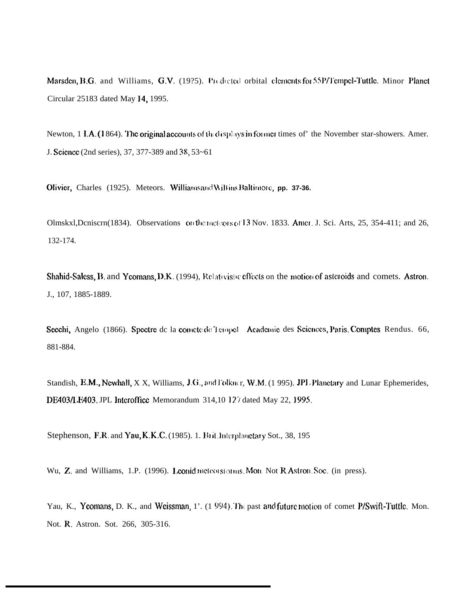Marsden, B.G. and Williams, G.V. (19?5). Predicted orbital elements for 55P/Tempel-Tuttle. Minor Planet Circular 25183 dated May 14, 1995.

Newton,  $1 I.A.(1864)$ . The original accounts of the displays in former times of' the November star-showers. Amer. J. Science (2nd series), 37, 377-389 and 38, 53~61

Olivier, Charles (1925). Meteors. Williams and Willins Baltimore, pp. 37-36.

Olmskxl, Denisern(1834). Observations on the meteors of 13 Nov. 1833. Amer. J. Sci. Arts, 25, 354-411; and 26, 132-174.

Shahid-Saless, B. and Yeomans, D.K. (1994), Relativistic effects on the motion of asteroids and comets. Astron. J., 107, 1885-1889.

Seechi, Angelo (1866). Spectre de la comete de Tempel Academie des Sciences, Paris Comptes Rendus. 66, 881-884.

Standish, E.M., Newhall, X X, Williams, J.G., and Folkner, W.M. (1995). JPL Planetary and Lunar Ephemerides, DE403/LE403. JPL Interoffice Memorandum 314,10 127 dated May 22, 1995.

Stephenson, F.R. and Yau, K.K.C. (1985). 1. Brit. Interplanetary Sot., 38, 195

Wu, Z. and Williams, 1.P. (1996). Leonid meteors onus. Mott. Not R Astron. Soc. (in press).

Yau, K., Yeomans, D. K., and Weissman, 1'. (1994). The past and future motion of comet P/Swift-Tuttle. Mon. Not. R. Astron. Sot. 266, 305-316.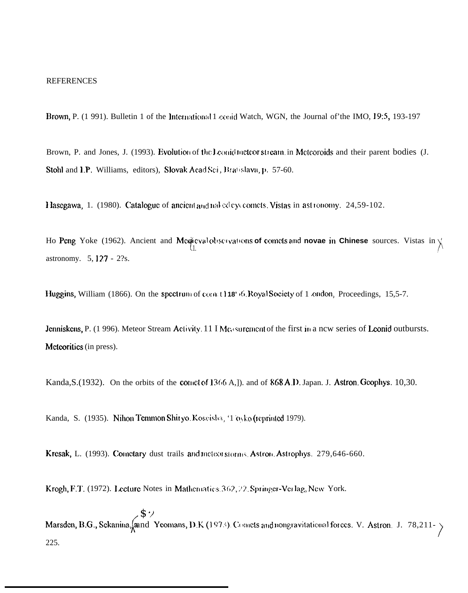#### REFERENCES

Brown, P. (1 991). Bulletin 1 of the International 1 conid Watch, WGN, the Journal of the IMO, 19:5, 193-197

Brown, P. and Jones, J. (1993). Evolution of the Leanid meteor stream. in Meteoroids and their parent bodies (J. Stohl and I.P. Williams, editors), Slovak Acad Sci, Bratislava, p. 57-60.

1 lasegawa, 1. (1980). Catalogue of ancient and nal-cd cyc comets. Vistas in ast tonomy. 24,59-102.

Ho Peng Yoke (1962). Ancient and Medicyal observations of comets and novae in Chinese sources. Vistas in  $\chi$  $\Lambda$ astronomy.  $5, 127 - 2$ ?s.

**Huggins,** William (1866). On the spectrum of event 118' i6. Royal Society of 1 *condon*, Proceedings, 15,5-7.

Jenniskens, P. (1 996). Meteor Stream Activity. 11 I M<sub>G</sub> surement of the first in a ncw series of Leonid outbursts. Mcteoritics (in press).

Kanda, S. (1932). On the orbits of the coinct of  $13(6 \text{ A},I)$ . and of  $868 \text{ A}$ .D. Japan. J. Astron. Geophys. 10,30.

Kanda, S. (1935). Nihon Temmon Shiryo. Koscisha, '1  $\alpha$ , ko (reprinted 1979).

Krcsak, L. (1993). Coinctary dust trails and incteorstorms. Astron. Astrophys. 279,646-660.

Krogh, F.T. (1972). Lecture Notes in Mathematics. 362, 22. Springer-Verlag, New York.

**1**  $\boldsymbol{\mathsf{S}}$   $\boldsymbol{\mathsf{\cdot}}$ Marsden, B.G., Sekanina, and Yeomans, D.K (1973). Comets and nongravitational forces. V. Astron, J. 78,211-  $\frac{1}{2}$  $\bigg)$ 225.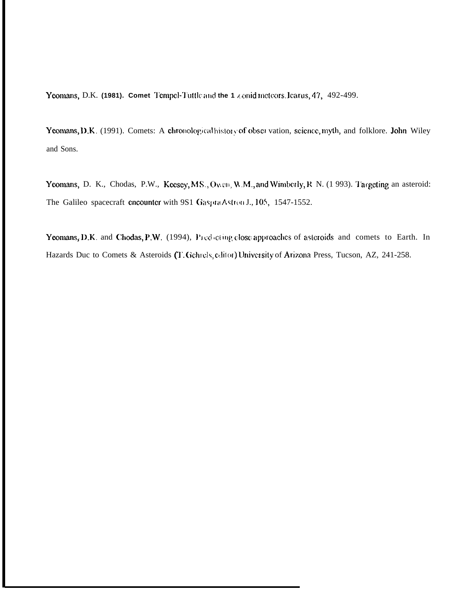Yeomans, D.K. (1981). Comet Tempel-Tuttle and the 1 x onid meteors. Icarus, 47, 492-499.

Yeomans, D.K. (1991). Comets: A chronological history of observation, science, myth, and folklore. John Wiley and Sons.

Yeomans, D. K., Chodas, P.W., Keesey, M.S., Owen, W.M., and Wimberly, R. N. (1993). Targeting an asteroid: The Galileo spacecraft encounter with 9S1 Gaspta Astron J., 105, 1547-1552.

Yeomans, D.K. and Chodas, P.W. (1994), Predocting close approaches of asteroids and comets to Earth. In Hazards Duc to Comets & Asteroids (T. Gchrels, editor) University of Arizona Press, Tucson, AZ, 241-258.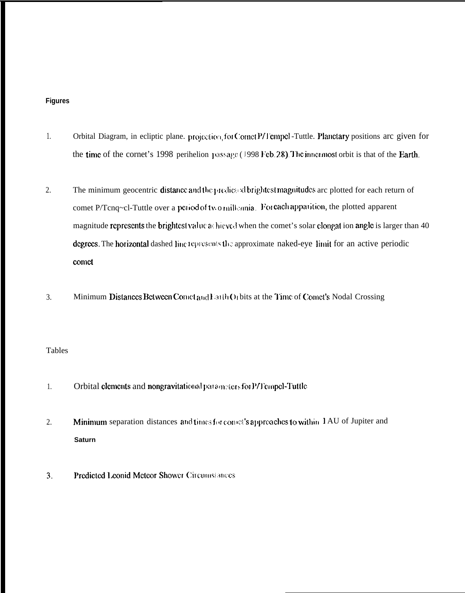# **Figures**

- 1. Orbital Diagram, in ecliptic plane. projection for Cornet P/1 empcl -Tuttle. Planetary positions arc given for the time of the cornet's 1998 perihelion passage ( $1998$  Feb. 28). The innermost orbit is that of the Earth.
- 2. The minimum geocentric distance and the predicted brightest magnitudes arc plotted for each return of comet P/Tcnq~cl-Tuttle over a period of two mill ania. For cach apparation, the plotted apparent magnitude represents the brightest value at hieved when the comet's solar clongat ion angle is larger than 40 degrecs. The horizontal dashed line represents the approximate naked-eye limit for an active periodic comet
- 3. Minimum Distances Between Comet and Larth Orbits at the Time of Comet's Nodal Crossing

# Tables

- 1. Orbital elements and nongravitational parameters for P/Tempel-Tuttle
- 2. Minimum separation distances and times for concel's approaches to within 1 AU of Jupiter and **Saturn**
- 3. Predicted Leonid Meteor Shower Circumsiances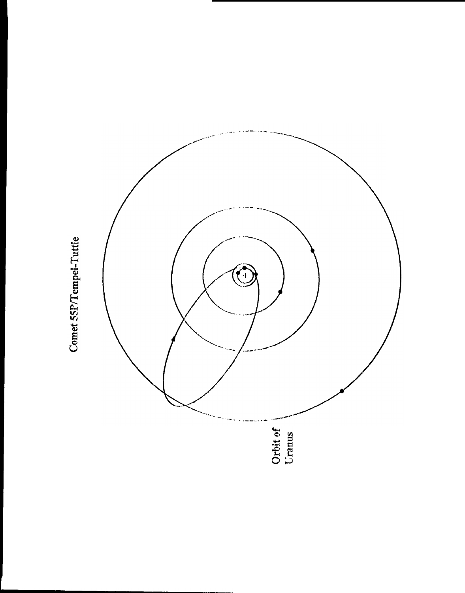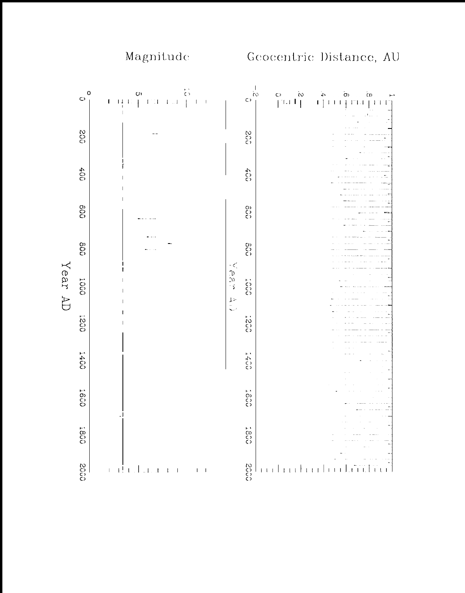

Magnitude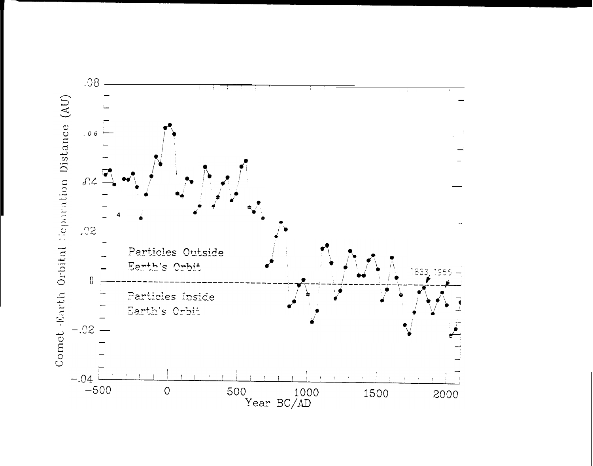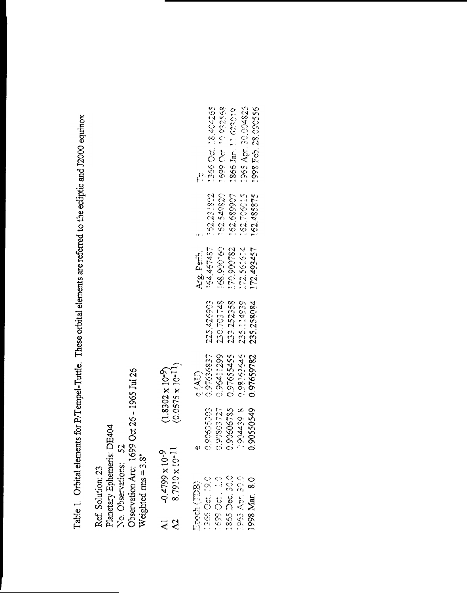Table 1. Orbital elements for P/Tempel-Tuttle. These orbital elements are referred to the ecliptic and J2000 equinox

Planetary Ephemeris: DE404<br>No. Observations: 52<br>Observation Arc: 1699 Oct 26 - 1965 Jul 26 Weighted  $\text{rms} = 3.8$ " Ref. Solution: 23

| $\mathcal{S}$<br>$\overline{\mathcal{X}}$ | 8.7910 x 10-11<br>$-0.4799 \times 10^{-9}$                                                       |                                                          | $(0.0575 \times 10^{-11})$<br>$(1.8302 \times 10^{-9})$               |                                                      |                                                                   |                                                      |                                                                                          |
|-------------------------------------------|--------------------------------------------------------------------------------------------------|----------------------------------------------------------|-----------------------------------------------------------------------|------------------------------------------------------|-------------------------------------------------------------------|------------------------------------------------------|------------------------------------------------------------------------------------------|
|                                           | 1865 Dec. 30.0<br>1996 Oct. 190<br>1965 Apr. 30.0<br>1.599061.22<br>1998 Mar. 8.0<br>Epech (TDB) | S.652206<br>0.90606785<br>0.90802727<br>0.90635903<br>q) | 0.96411299<br>0.98163646<br>0.9759277<br>0.97655455<br>$\tilde{G}(X)$ | 230.703748<br>233.252358<br>235.114939<br>225.426903 | 168.990160<br>1927.457<br>170.900782<br>172.561614<br>Arg. Peril. | 162.549820<br>162.231802<br>162.689907<br>162.706015 | 1965 Apr. 30.004825<br>1366 Oct. 18.404265<br>1699 Oct. 10.982568<br>1866 Jan. 11.623019 |
|                                           |                                                                                                  |                                                          | 90550549 0.97659782                                                   | 235.258084                                           | 172.493457                                                        | 162.485875                                           | 1998 Feb. 28.090556                                                                      |